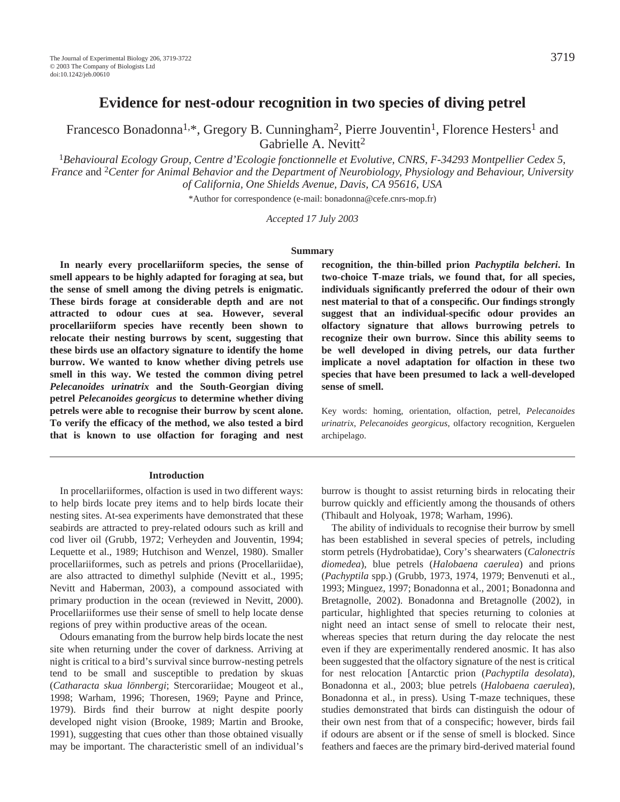# **Evidence for nest-odour recognition in two species of diving petrel**

Francesco Bonadonna<sup>1,\*</sup>, Gregory B. Cunningham<sup>2</sup>, Pierre Jouventin<sup>1</sup>, Florence Hesters<sup>1</sup> and Gabrielle A. Nevitt<sup>2</sup>

<sup>1</sup>*Behavioural Ecology Group, Centre d'Ecologie fonctionnelle et Evolutive, CNRS, F-34293 Montpellier Cedex 5, France* and 2*Center for Animal Behavior and the Department of Neurobiology, Physiology and Behaviour, University of California, One Shields Avenue, Davis, CA 95616, USA*

\*Author for correspondence (e-mail: bonadonna@cefe.cnrs-mop.fr)

*Accepted 17 July 2003*

#### **Summary**

**In nearly every procellariiform species, the sense of smell appears to be highly adapted for foraging at sea, but the sense of smell among the diving petrels is enigmatic. These birds forage at considerable depth and are not attracted to odour cues at sea. However, several procellariiform species have recently been shown to relocate their nesting burrows by scent, suggesting that these birds use an olfactory signature to identify the home burrow. We wanted to know whether diving petrels use smell in this way. We tested the common diving petrel** *Pelecanoides urinatrix* **and the South-Georgian diving petrel** *Pelecanoides georgicus* **to determine whether diving petrels were able to recognise their burrow by scent alone. To verify the efficacy of the method, we also tested a bird that is known to use olfaction for foraging and nest**

#### **Introduction**

In procellariiformes, olfaction is used in two different ways: to help birds locate prey items and to help birds locate their nesting sites. At-sea experiments have demonstrated that these seabirds are attracted to prey-related odours such as krill and cod liver oil (Grubb, 1972; Verheyden and Jouventin, 1994; Lequette et al., 1989; Hutchison and Wenzel, 1980). Smaller procellariiformes, such as petrels and prions (Procellariidae), are also attracted to dimethyl sulphide (Nevitt et al., 1995; Nevitt and Haberman, 2003), a compound associated with primary production in the ocean (reviewed in Nevitt, 2000). Procellariiformes use their sense of smell to help locate dense regions of prey within productive areas of the ocean.

Odours emanating from the burrow help birds locate the nest site when returning under the cover of darkness. Arriving at night is critical to a bird's survival since burrow-nesting petrels tend to be small and susceptible to predation by skuas (*Catharacta skua lönnbergi*; Stercorariidae; Mougeot et al., 1998; Warham, 1996; Thoresen, 1969; Payne and Prince, 1979). Birds find their burrow at night despite poorly developed night vision (Brooke, 1989; Martin and Brooke, 1991), suggesting that cues other than those obtained visually may be important. The characteristic smell of an individual's **recognition, the thin-billed prion** *Pachyptila belcheri***. In two-choice T-maze trials, we found that, for all species, individuals significantly preferred the odour of their own nest material to that of a conspecific. Our findings strongly suggest that an individual-specific odour provides an olfactory signature that allows burrowing petrels to recognize their own burrow. Since this ability seems to be well developed in diving petrels, our data further implicate a novel adaptation for olfaction in these two species that have been presumed to lack a well-developed sense of smell.** 

Key words: homing, orientation, olfaction, petrel, *Pelecanoides urinatrix*, *Pelecanoides georgicus*, olfactory recognition, Kerguelen archipelago.

burrow is thought to assist returning birds in relocating their burrow quickly and efficiently among the thousands of others (Thibault and Holyoak, 1978; Warham, 1996).

The ability of individuals to recognise their burrow by smell has been established in several species of petrels, including storm petrels (Hydrobatidae), Cory's shearwaters (*Calonectris diomedea*), blue petrels (*Halobaena caerulea*) and prions (*Pachyptila* spp.) (Grubb, 1973, 1974, 1979; Benvenuti et al., 1993; Minguez, 1997; Bonadonna et al., 2001; Bonadonna and Bretagnolle, 2002). Bonadonna and Bretagnolle (2002), in particular, highlighted that species returning to colonies at night need an intact sense of smell to relocate their nest, whereas species that return during the day relocate the nest even if they are experimentally rendered anosmic. It has also been suggested that the olfactory signature of the nest is critical for nest relocation [Antarctic prion (*Pachyptila desolata*), Bonadonna et al., 2003; blue petrels (*Halobaena caerulea*), Bonadonna et al., in press). Using T-maze techniques, these studies demonstrated that birds can distinguish the odour of their own nest from that of a conspecific; however, birds fail if odours are absent or if the sense of smell is blocked. Since feathers and faeces are the primary bird-derived material found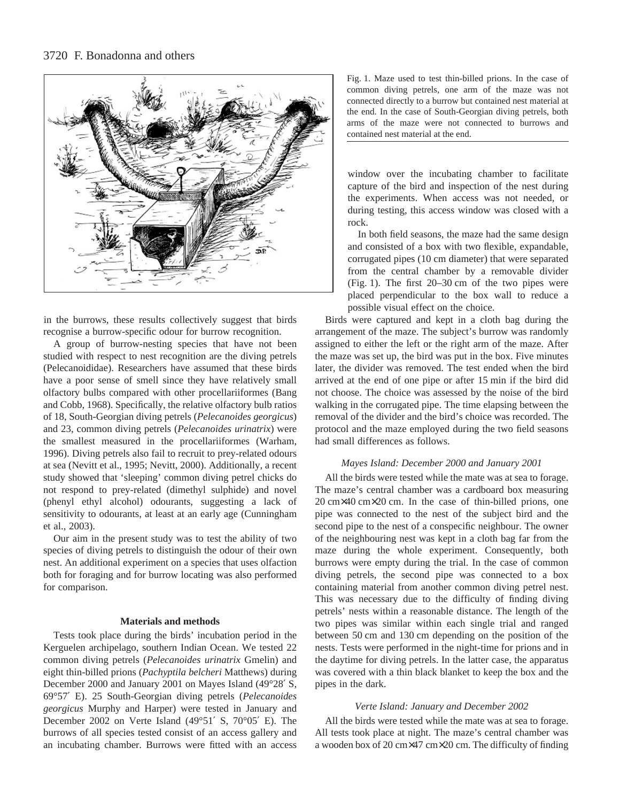

in the burrows, these results collectively suggest that birds recognise a burrow-specific odour for burrow recognition.

A group of burrow-nesting species that have not been studied with respect to nest recognition are the diving petrels (Pelecanoididae). Researchers have assumed that these birds have a poor sense of smell since they have relatively small olfactory bulbs compared with other procellariiformes (Bang and Cobb, 1968). Specifically, the relative olfactory bulb ratios of 18, South-Georgian diving petrels (*Pelecanoides georgicus*) and 23, common diving petrels (*Pelecanoides urinatrix*) were the smallest measured in the procellariiformes (Warham, 1996). Diving petrels also fail to recruit to prey-related odours at sea (Nevitt et al., 1995; Nevitt, 2000). Additionally, a recent study showed that 'sleeping' common diving petrel chicks do not respond to prey-related (dimethyl sulphide) and novel (phenyl ethyl alcohol) odourants, suggesting a lack of sensitivity to odourants, at least at an early age (Cunningham et al., 2003).

Our aim in the present study was to test the ability of two species of diving petrels to distinguish the odour of their own nest. An additional experiment on a species that uses olfaction both for foraging and for burrow locating was also performed for comparison.

#### **Materials and methods**

Tests took place during the birds' incubation period in the Kerguelen archipelago, southern Indian Ocean. We tested 22 common diving petrels (*Pelecanoides urinatrix* Gmelin) and eight thin-billed prions (*Pachyptila belcheri* Matthews) during December 2000 and January 2001 on Mayes Island (49°28′ S, 69°57′ E). 25 South-Georgian diving petrels (*Pelecanoides georgicus* Murphy and Harper) were tested in January and December 2002 on Verte Island (49°51′ S, 70°05′ E). The burrows of all species tested consist of an access gallery and an incubating chamber. Burrows were fitted with an access Fig. 1. Maze used to test thin-billed prions. In the case of common diving petrels, one arm of the maze was not connected directly to a burrow but contained nest material at the end. In the case of South-Georgian diving petrels, both arms of the maze were not connected to burrows and contained nest material at the end.

window over the incubating chamber to facilitate capture of the bird and inspection of the nest during the experiments. When access was not needed, or during testing, this access window was closed with a rock.

In both field seasons, the maze had the same design and consisted of a box with two flexible, expandable, corrugated pipes (10 cm diameter) that were separated from the central chamber by a removable divider (Fig. 1). The first  $20-30$  cm of the two pipes were placed perpendicular to the box wall to reduce a possible visual effect on the choice.

Birds were captured and kept in a cloth bag during the arrangement of the maze. The subject's burrow was randomly assigned to either the left or the right arm of the maze. After the maze was set up, the bird was put in the box. Five minutes later, the divider was removed. The test ended when the bird arrived at the end of one pipe or after 15 min if the bird did not choose. The choice was assessed by the noise of the bird walking in the corrugated pipe. The time elapsing between the removal of the divider and the bird's choice was recorded. The protocol and the maze employed during the two field seasons had small differences as follows.

### *Mayes Island: December 2000 and January 2001*

All the birds were tested while the mate was at sea to forage. The maze's central chamber was a cardboard box measuring  $20 \text{ cm} \times 40 \text{ cm} \times 20 \text{ cm}$ . In the case of thin-billed prions, one pipe was connected to the nest of the subject bird and the second pipe to the nest of a conspecific neighbour. The owner of the neighbouring nest was kept in a cloth bag far from the maze during the whole experiment. Consequently, both burrows were empty during the trial. In the case of common diving petrels, the second pipe was connected to a box containing material from another common diving petrel nest. This was necessary due to the difficulty of finding diving petrels' nests within a reasonable distance. The length of the two pipes was similar within each single trial and ranged between 50 cm and 130 cm depending on the position of the nests. Tests were performed in the night-time for prions and in the daytime for diving petrels. In the latter case, the apparatus was covered with a thin black blanket to keep the box and the pipes in the dark.

#### *Verte Island: January and December 2002*

All the birds were tested while the mate was at sea to forage. All tests took place at night. The maze's central chamber was a wooden box of 20 cm×47 cm×20 cm. The difficulty of finding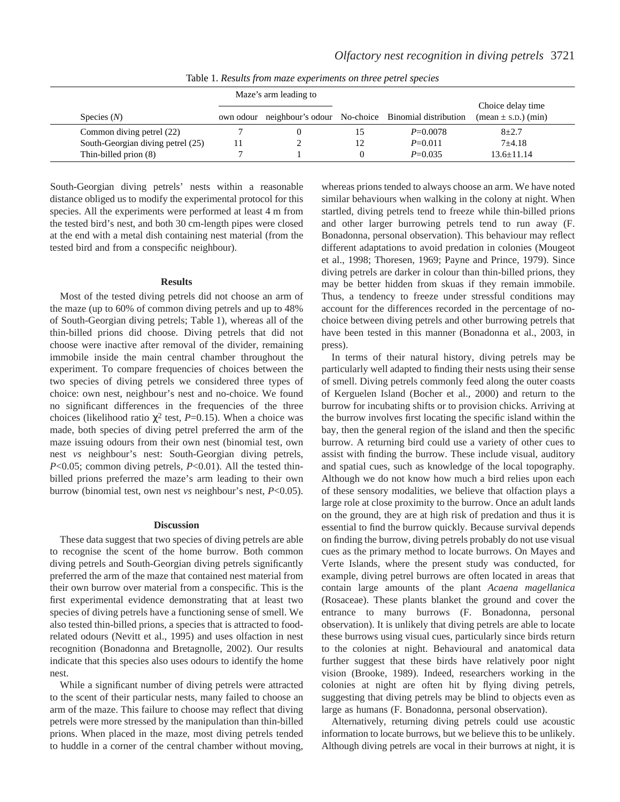|                                   | Maze's arm leading to |  |    |                                                   |                                                                   |
|-----------------------------------|-----------------------|--|----|---------------------------------------------------|-------------------------------------------------------------------|
| Species $(N)$                     | own odour             |  |    | neighbour's odour No-choice Binomial distribution | Choice delay time<br>$(\text{mean} \pm \text{s.D.}) (\text{min})$ |
| Common diving petrel (22)         |                       |  |    | $P = 0.0078$                                      | $8 + 2.7$                                                         |
| South-Georgian diving petrel (25) |                       |  | 12 | $P=0.011$                                         | $7 + 4.18$                                                        |
| Thin-billed prion (8)             |                       |  |    | $P=0.035$                                         | $13.6 \pm 11.14$                                                  |

Table 1. *Results from maze experiments on three petrel species*

South-Georgian diving petrels' nests within a reasonable distance obliged us to modify the experimental protocol for this species. All the experiments were performed at least 4 m from the tested bird's nest, and both 30 cm-length pipes were closed at the end with a metal dish containing nest material (from the tested bird and from a conspecific neighbour).

#### **Results**

Most of the tested diving petrels did not choose an arm of the maze (up to 60% of common diving petrels and up to 48% of South-Georgian diving petrels; Table 1), whereas all of the thin-billed prions did choose. Diving petrels that did not choose were inactive after removal of the divider, remaining immobile inside the main central chamber throughout the experiment. To compare frequencies of choices between the two species of diving petrels we considered three types of choice: own nest, neighbour's nest and no-choice. We found no significant differences in the frequencies of the three choices (likelihood ratio  $\chi^2$  test, *P*=0.15). When a choice was made, both species of diving petrel preferred the arm of the maze issuing odours from their own nest (binomial test, own nest *vs* neighbour's nest: South-Georgian diving petrels, *P*<0.05; common diving petrels, *P*<0.01). All the tested thinbilled prions preferred the maze's arm leading to their own burrow (binomial test, own nest *vs* neighbour's nest, *P*<0.05).

#### **Discussion**

These data suggest that two species of diving petrels are able to recognise the scent of the home burrow. Both common diving petrels and South-Georgian diving petrels significantly preferred the arm of the maze that contained nest material from their own burrow over material from a conspecific. This is the first experimental evidence demonstrating that at least two species of diving petrels have a functioning sense of smell. We also tested thin-billed prions, a species that is attracted to foodrelated odours (Nevitt et al., 1995) and uses olfaction in nest recognition (Bonadonna and Bretagnolle, 2002). Our results indicate that this species also uses odours to identify the home nest.

While a significant number of diving petrels were attracted to the scent of their particular nests, many failed to choose an arm of the maze. This failure to choose may reflect that diving petrels were more stressed by the manipulation than thin-billed prions. When placed in the maze, most diving petrels tended to huddle in a corner of the central chamber without moving,

whereas prions tended to always choose an arm. We have noted similar behaviours when walking in the colony at night. When startled, diving petrels tend to freeze while thin-billed prions and other larger burrowing petrels tend to run away (F. Bonadonna, personal observation). This behaviour may reflect different adaptations to avoid predation in colonies (Mougeot et al., 1998; Thoresen, 1969; Payne and Prince, 1979). Since diving petrels are darker in colour than thin-billed prions, they may be better hidden from skuas if they remain immobile. Thus, a tendency to freeze under stressful conditions may account for the differences recorded in the percentage of nochoice between diving petrels and other burrowing petrels that have been tested in this manner (Bonadonna et al., 2003, in press).

In terms of their natural history, diving petrels may be particularly well adapted to finding their nests using their sense of smell. Diving petrels commonly feed along the outer coasts of Kerguelen Island (Bocher et al., 2000) and return to the burrow for incubating shifts or to provision chicks. Arriving at the burrow involves first locating the specific island within the bay, then the general region of the island and then the specific burrow. A returning bird could use a variety of other cues to assist with finding the burrow. These include visual, auditory and spatial cues, such as knowledge of the local topography. Although we do not know how much a bird relies upon each of these sensory modalities, we believe that olfaction plays a large role at close proximity to the burrow. Once an adult lands on the ground, they are at high risk of predation and thus it is essential to find the burrow quickly. Because survival depends on finding the burrow, diving petrels probably do not use visual cues as the primary method to locate burrows. On Mayes and Verte Islands, where the present study was conducted, for example, diving petrel burrows are often located in areas that contain large amounts of the plant *Acaena magellanica* (Rosaceae). These plants blanket the ground and cover the entrance to many burrows (F. Bonadonna, personal observation). It is unlikely that diving petrels are able to locate these burrows using visual cues, particularly since birds return to the colonies at night. Behavioural and anatomical data further suggest that these birds have relatively poor night vision (Brooke, 1989). Indeed, researchers working in the colonies at night are often hit by flying diving petrels, suggesting that diving petrels may be blind to objects even as large as humans (F. Bonadonna, personal observation).

Alternatively, returning diving petrels could use acoustic information to locate burrows, but we believe this to be unlikely. Although diving petrels are vocal in their burrows at night, it is